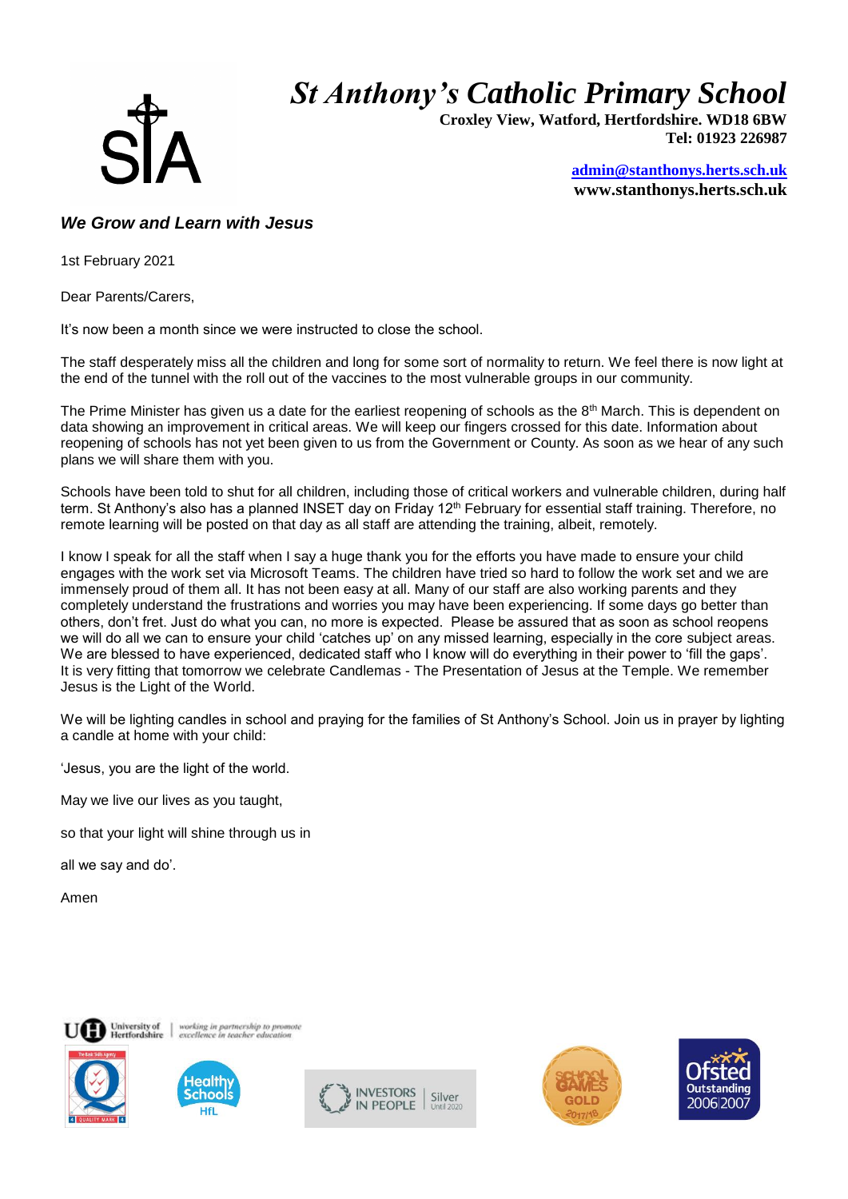*St Anthony's Catholic Primary School*



 **Croxley View, Watford, Hertfordshire. WD18 6BW Tel: 01923 226987** 

> **[admin@stanthonys.herts.sch.uk](mailto:admin.stanthonys@thegrid.org.uk) www.stanthonys.herts.sch.uk**

## *We Grow and Learn with Jesus*

1st February 2021

Dear Parents/Carers,

It's now been a month since we were instructed to close the school.

The staff desperately miss all the children and long for some sort of normality to return. We feel there is now light at the end of the tunnel with the roll out of the vaccines to the most vulnerable groups in our community.

The Prime Minister has given us a date for the earliest reopening of schools as the 8<sup>th</sup> March. This is dependent on data showing an improvement in critical areas. We will keep our fingers crossed for this date. Information about reopening of schools has not yet been given to us from the Government or County. As soon as we hear of any such plans we will share them with you.

Schools have been told to shut for all children, including those of critical workers and vulnerable children, during half term. St Anthony's also has a planned INSET day on Friday 12<sup>th</sup> February for essential staff training. Therefore, no remote learning will be posted on that day as all staff are attending the training, albeit, remotely.

I know I speak for all the staff when I say a huge thank you for the efforts you have made to ensure your child engages with the work set via Microsoft Teams. The children have tried so hard to follow the work set and we are immensely proud of them all. It has not been easy at all. Many of our staff are also working parents and they completely understand the frustrations and worries you may have been experiencing. If some days go better than others, don't fret. Just do what you can, no more is expected. Please be assured that as soon as school reopens we will do all we can to ensure your child 'catches up' on any missed learning, especially in the core subject areas. We are blessed to have experienced, dedicated staff who I know will do everything in their power to 'fill the gaps'. It is very fitting that tomorrow we celebrate Candlemas - The Presentation of Jesus at the Temple. We remember Jesus is the Light of the World.

We will be lighting candles in school and praying for the families of St Anthony's School. Join us in prayer by lighting a candle at home with your child:

'Jesus, you are the light of the world.

May we live our lives as you taught,

so that your light will shine through us in

all we say and do'.

Amen





working in partnership to prom<br>excellence in teacher education